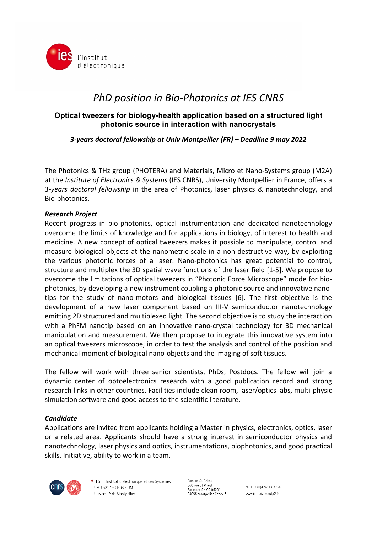

# *PhD position in Bio-Photonics at IES CNRS*

# **Optical tweezers for biology-health application based on a structured light photonic source in interaction with nanocrystals**

*3-years doctoral fellowship at Univ Montpellier (FR) – Deadline 9 may 2022*

The Photonics & THz group (PHOTERA) and Materials, Micro et Nano-Systems group (M2A) at the *Institute of Electronics & Systems* (IES CNRS), University Montpellier in France, offers a 3*-years doctoral fellowship* in the area of Photonics, laser physics & nanotechnology, and Bio-photonics.

## *Research Project*

Recent progress in bio-photonics, optical instrumentation and dedicated nanotechnology overcome the limits of knowledge and for applications in biology, of interest to health and medicine. A new concept of optical tweezers makes it possible to manipulate, control and measure biological objects at the nanometric scale in a non-destructive way, by exploiting the various photonic forces of a laser. Nano-photonics has great potential to control, structure and multiplex the 3D spatial wave functions of the laser field [1-5]. We propose to overcome the limitations of optical tweezers in "Photonic Force Microscope" mode for biophotonics, by developing a new instrument coupling a photonic source and innovative nanotips for the study of nano-motors and biological tissues [6]. The first objective is the development of a new laser component based on III-V semiconductor nanotechnology emitting 2D structured and multiplexed light. The second objective is to study the interaction with a PhFM nanotip based on an innovative nano-crystal technology for 3D mechanical manipulation and measurement. We then propose to integrate this innovative system into an optical tweezers microscope, in order to test the analysis and control of the position and mechanical moment of biological nano-objects and the imaging of soft tissues.

The fellow will work with three senior scientists, PhDs, Postdocs. The fellow will join a dynamic center of optoelectronics research with a good publication record and strong research links in other countries. Facilities include clean room, laser/optics labs, multi-physic simulation software and good access to the scientific literature.

#### *Candidate*

Applications are invited from applicants holding a Master in physics, electronics, optics, laser or a related area. Applicants should have a strong interest in semiconductor physics and nanotechnology, laser physics and optics, instrumentations, biophotonics, and good practical skills. Initiative, ability to work in a team.



Camous St Priest 860 rue St Priest Bâtiment 5 - CC 05001 34095 Montpellier Cedex 5

tel +33 (0)4 67 14 37 97 www.ies.univ-montp2.fr